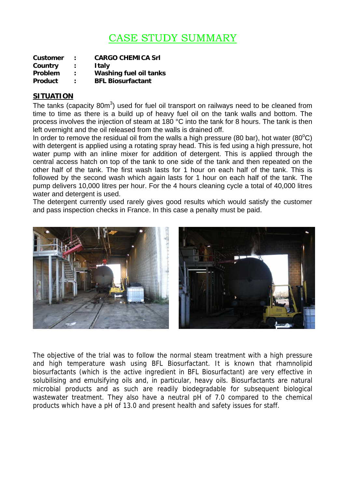## CASE STUDY SUMMARY

| Customer       | ÷                    | <b>CARGO CHEMICA Srl</b>      |
|----------------|----------------------|-------------------------------|
| Country        | $\ddot{\phantom{a}}$ | <b>Italy</b>                  |
| <b>Problem</b> | ÷                    | <b>Washing fuel oil tanks</b> |
| <b>Product</b> | ٠                    | <b>BFL Biosurfactant</b>      |

## **SITUATION**

The tanks (capacity 80m<sup>3</sup>) used for fuel oil transport on railways need to be cleaned from time to time as there is a build up of heavy fuel oil on the tank walls and bottom. The process involves the injection of steam at 180 °C into the tank for 8 hours. The tank is then left overnight and the oil released from the walls is drained off.

In order to remove the residual oil from the walls a high pressure (80 bar), hot water (80 $^{\circ}$ C) with detergent is applied using a rotating spray head. This is fed using a high pressure, hot water pump with an inline mixer for addition of detergent. This is applied through the central access hatch on top of the tank to one side of the tank and then repeated on the other half of the tank. The first wash lasts for 1 hour on each half of the tank. This is followed by the second wash which again lasts for 1 hour on each half of the tank. The pump delivers 10,000 litres per hour. For the 4 hours cleaning cycle a total of 40,000 litres water and detergent is used.

The detergent currently used rarely gives good results which would satisfy the customer and pass inspection checks in France. In this case a penalty must be paid.



The objective of the trial was to follow the normal steam treatment with a high pressure and high temperature wash using BFL Biosurfactant. It is known that rhamnolipid biosurfactants (which is the active ingredient in BFL Biosurfactant) are very effective in solubilising and emulsifying oils and, in particular, heavy oils. Biosurfactants are natural microbial products and as such are readily biodegradable for subsequent biological wastewater treatment. They also have a neutral pH of 7.0 compared to the chemical products which have a pH of 13.0 and present health and safety issues for staff.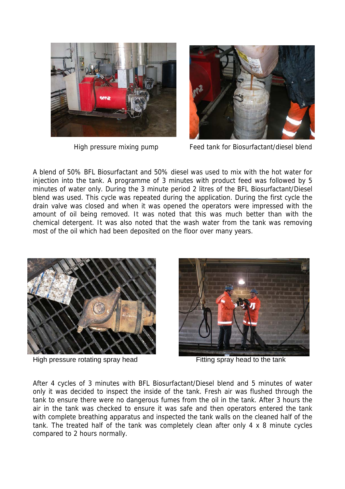



High pressure mixing pump Feed tank for Biosurfactant/diesel blend

A blend of 50% BFL Biosurfactant and 50% diesel was used to mix with the hot water for injection into the tank. A programme of 3 minutes with product feed was followed by 5 minutes of water only. During the 3 minute period 2 litres of the BFL Biosurfactant/Diesel blend was used. This cycle was repeated during the application. During the first cycle the drain valve was closed and when it was opened the operators were impressed with the amount of oil being removed. It was noted that this was much better than with the chemical detergent. It was also noted that the wash water from the tank was removing most of the oil which had been deposited on the floor over many years.



High pressure rotating spray head Fitting spray head to the tank



After 4 cycles of 3 minutes with BFL Biosurfactant/Diesel blend and 5 minutes of water only it was decided to inspect the inside of the tank. Fresh air was flushed through the tank to ensure there were no dangerous fumes from the oil in the tank. After 3 hours the air in the tank was checked to ensure it was safe and then operators entered the tank with complete breathing apparatus and inspected the tank walls on the cleaned half of the tank. The treated half of the tank was completely clean after only 4 x 8 minute cycles compared to 2 hours normally.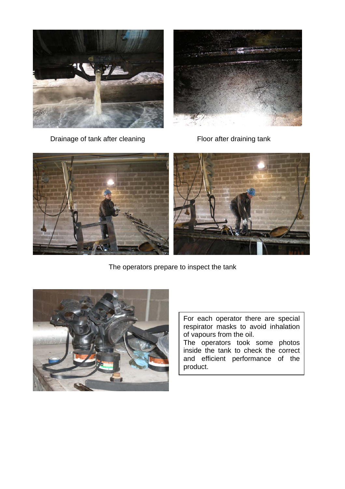



**Drainage of tank after cleaning Floor after draining tank** 



The operators prepare to inspect the tank



For each operator there are special respirator masks to avoid inhalation of vapours from the oil. The operators took some photos inside the tank to check the correct and efficient performance of the product.